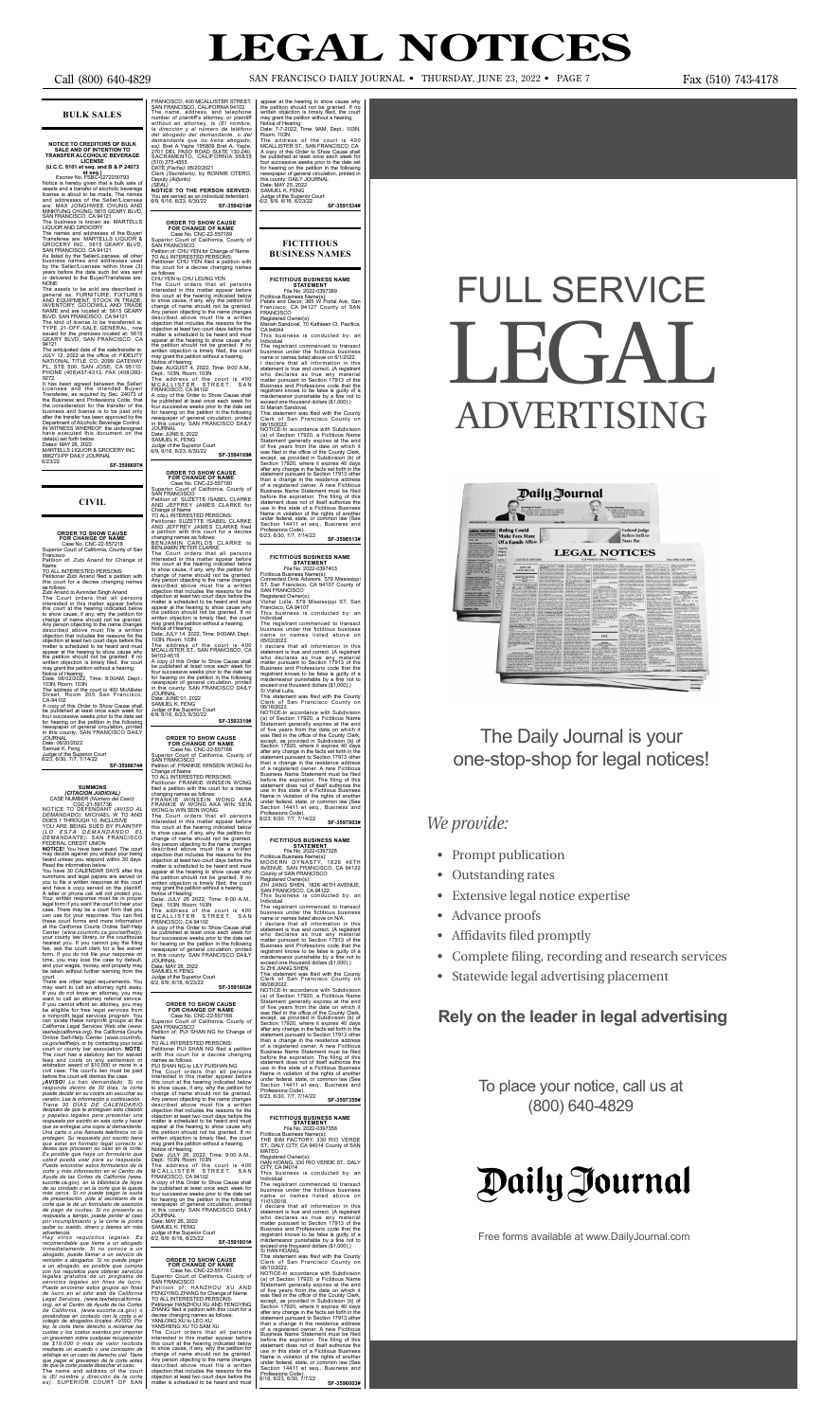#### **BULK SALES**

**NOTICE TO CREDITORS OF BULK<br>
SALE AND OF INTENTION TO<br>
<b>TRANSFER ALCOHOLIC BEVERAGE**<br> **(U.C.C. 6101 et seq. and B & P 24073**<br>
Escrow No. FSBC-0272200793<br>
Escrow No. FSBC-0272200793

Notice is hereby given that a bulk sale of assets and a transfer of alcoholic beverage license is about to be made. The names and addresses of the Seller/Licensee are: MAX JONGHWEE CHUNG AND MINKYUNG CHUNG, 5615 GEARY BLVD,

SAN FRANCISCO, CA 94121<br>The business is known as: MARTELLS<br>LIQUOR AND GROCERY<br>The names and addresses of the Buyer/<br>Transferee are: MARTELLS LIQUOR &<br>GROCERY INC., 5615 GEARY BLVD,<br>SAN FRANCISCO, CA 94121<br>Nusiness names an

by the Seller/Licensee within three (3) years before the date such list was sent or delivered to the Buyer/Transferee are: NONE

The assets to be sold are described in<br>general as: FURNITURE, FIXTURES<br>AND EQUIPMENT, STOCK IN TRADE,<br>INVENTORY, GOODWILL AND TRADE

NAME and are located at: 5615 GEARY<br>BLVD, SAN FRANCISCO, CA 94121<br>The kind of license to be transferred is:<br>TYPE 21-OFF-SALE GENERAL, now<br>issued for the premises located at: 5615<br>GEARY BLVD, SAN FRANCISCO, CA<br>94121

9272.<br>
S272.<br>
It has been agreed between the Seller/<br>
Licensee and the intended Buyer/<br>
Transferee, as required by Sec. 24073 of<br>
the Business and Professions Code, that<br>
the consideration for the transfer of the<br>
business have executed this document on the

Petitioner Zubi Anand filed a petition with this court for a decree changing names as follows: Zubi Anand to Avninder Singh Anand<br>The Court orders that all persons<br>interested in this matter appear before<br>this court at the hearing indicated below<br>to show cause, if any, why the petition for<br>change of name should not b

appear at the hearing to show cause why<br>the petition should not be granted. If no<br>written objection is timely filed, the court<br>may grant the petition without a hearing.<br>Notice of Hearing:<br>Date: 08/02/2022, Time: 9:00AM, De

The anticipated date of the sale/transfer is: JULY 12, 2022 at the office of: FIDELITY NATIONAL TITLE CO, 2099 GATEWAY PL, STE 500, SAN JOSE, CA 95110. PHONE (408)437-4313, FAX (408)392-

CA-94102<br>A copy of this Order to Show Cause shall<br>be published at least once each week for<br>four successive weeks prior to the date set<br>for hearing on the petition in the following<br>newspaper of general circulation, printed<br> JOURNAL

Date: 06/20/2022 Samuel K. Feng Judge of the Superior Court 6/23, 6/30, 7/7, 7/14/22

**SUMMONS** *(CITACION JUDICIAL)*<br>CASE NUMBER *(Número del* 

FRANCISCO, 400 MCALLISTER STREET,<br>SAN FRANCISCO, CALIFORNIA 94102<br>The name, address, and telephone<br>number of plaintiff's attorney, or plaintiff<br>without an attorney, is (El nombre,<br>la dirección y el número de teléfono<br>del a *demandante que no tiene abogado,<br>es): Bret A Yaple 195809 Bret A. Yaple,<br>2701 DEL PASO ROAD SUITE 130-240,<br>SACRAMENTO, CALIFORNIA 95835* (510) 275-4555 DATE *(Fecha)*: 05/20/2021 Clerk *(Secretario)*, by RONNIE OTERO, Deputy *(Adjunto)*<br>*(SEAL)*<br>**NOTICE TO THE PERSON SERVED:<br>You are served as an individual defendant.** You are served as an individual defendant.<br>6/9, 6/16, 6/23, 6/30/22<br>**SF-3594218#** 

**FOR CHANGE OF NAME**<br>
FOR CHANGE OF NAME<br>
Case No. CNC-22-557189<br>
Superior Court of California, County of<br>
BAN FRANCISCO<br>
Petition of: CHU YEN for Change of Name<br>
TO ALL INTERESTED PERSONS: Petitioner CHU YEN filed a petition with this court for a decree changing names

as follows:<br>CHU YEN to CHU LEUNG YEN CHUYEN to CHULEUNG YEN<br>The Court orders that all persons<br>interested in this matter appear before<br>this court at the hearing indicated below<br>to show cause, if any, why the petition for<br>change of name should not be granted.<br>A matter is scheduled to be heard and must<br>appear at the hearing to show cause why

appear at the hearing to show cause why<br>the petition should not be granted. If no<br>written objection is timely filed, the court<br>may grant the petition without a hearing.<br>Notice of Hearing:<br>Date: AUGUST 4, 2022, Time: 9:00 A

four successive weeks prior to the date set<br>for hearing on the petition in the following<br>newspaper of general circulation, printed<br>in this county: SAN FRANCISCO DAILY

date(s) set forth below. Dated: MAY 26, 2022 MARTELLS LIQUOR & GROCERY INC.

996273-PP DAILY JOURNAL 6/23/22 **SF-3598697#**

**CIVIL**

## **ORDER TO SHOW CAUSE<br>FOR CHANGE OF NAME<br>Case No. CNC-22-557218<br>Superior Court of California, County of San**

Francisco Petition of: Zubi Anand for Change of

Name TO ALL INTERESTED PERSONS:

court. There are other legal requirements. You may want to call an attorney right away. If you do not know an attorney, you may want to call an attorney referral service If you cannot afford an attorney, you may be eligible for free legal services from a nonprofit legal services program. You can locate these nonprofit groups at the California Legal Services Web site (*www. lawhelpcalifornia.org*), the California Courts Online Self-Help Center (*www.courtinfo.* ca.gov/selfhelp), or by contacting your local<br>court or countly bar association. NOTE:<br>The court has a statutory lien for waived<br>fees and costs on any settlement or<br>arbitration award of \$10,000 or more in a<br>civil case. The

103N, Room: 103N The address of the court is 400 McAllister Street, Room 205 San Francisco,

**SF-3598674#**

may decide against you without your being heard unless you respond within 30 days.

Read the information below.<br>You have 30 CALENDAR DAYS after this<br>summons and legal papers are served on<br>you to file a written response at this court<br>and have a copy served on the plaintiff.<br>A letter or phone call will not can use for your response. You can find these court forms and more information at the California Courts Online Self-Help Center (*www.courtinfo.ca.gov/selfhelp*), your county law library, or the courthouse<br>nearest you. If you cannot pay the filing<br>fee, ask the court clerk for a fee waiver<br>form. If you do not file your response on<br>time, you may lose the case by default,<br>and your wage

#### **ORDER TO SHOW CAUSE FOR CHANGE OF NAME<br>Case No. CNC-22-557166<br>Superior Court of California, County of<br>SAN FRANCISCO**

Petition of: FRANKIE WINSEIN WONG for<br>Change of Name<br>TO ALL INTERESTED PERSONS:<br>Petitioner FRANKIE WINSEIN WONG filed a petition with this court for a decree<br>changing names as follows:<br>FRANKIE W WONG AKA WIN SEIN<br>FRANKIE W WONG AKA WIN SEIN<br>WONG to WIN SEIN WONG

appear at the hearing to show cause why<br>the petition should not be granted. If no<br>written objection is timely filed, the court<br>may grant the petition without a hearing.<br>Notice of Hearing:<br>Date: 7-7-2022, Time: 9AM, Dept.: The address of the court is 400 MCALLISTER ST., SAN FRANCISCO, CA A copy of this Order to Show Cause shall be published at least once each week for four successive weeks prior to the date set<br>for hearing on the petition in the following<br>newspaper of general circulation, printed in<br>this county: DAILY JOURNAL<br>Date: MAY 25, 2022<br>SAMUEL K. FENG<br>Judge of the Superior Court

*¡AVISO! Lo han demandado. Si no responde dentro de 30 días, la corte puede decidir en su contra sin escuchar su versión. Lea la información a continuación. Tiene 30 DÍAS DE CALENDARIO después de que le entreguen esta citación y papeles legales para presentar una*  respuesta por escrito en esta corte y hacer<br>que se entregue una copia al demandante.<br>Una carta o una llamada telefónica no lo<br>protegen. Su respuesta por escrito tiene<br>que estar en formato legal correcto si<br>desea que proces *corte y más información en el Centro de Ayuda de las Cortes de California (*www. sucorte.ca.gov*), en la biblioteca de leyes de su condado o en la corte que le quede más cerca. Si no puede pagar la cuota de presentación, pida al secretario de la corte que le dé un formulario de exención de pago de cuotas. Si no presenta su respuesta a tiempo, puede perder el caso por incumplimiento y la corte le podrá quitar su sueldo, dinero y bienes sin más* 

Case No. CNC-22-557168 Superior Court of California, County of SAN FRANCISCO Petition of: PUI SHAN NG for Change of

Name<br>TOALL INTERESTED PERSONS:<br>Petitioner PUI SHAN NG filed a petition<br>mames as follows:<br>names as follows:<br>PUI SHAN NG to LILY PUISHAN NG<br>THE Court orders that all persons<br>interested in this matter appear before<br>this court Any person objecting to the name changes described above must file a written objection that includes the reasons for the objection at least two court days before the matter is scheduled to be heard and must<br>appear at the hearing to show cause why<br>the petition should not be granted. If no<br>written objection is timely filed, the court<br>may grant the petition without a hearing.<br>Notice of He Dept.:103N,Room:103N<br>The address of the court is 400<br>MCALLISTER STREET, SAN<br>FRANCISCO,CA94102 A copy of this Order to Show Cause shall be published at least once each week for four successive weeks prior to the date set for hearing on the petition in the following

*advertencia. Hay otros requisitos legales. Es recomendable que llame a un abogado*  inmediatamente. Si no conoce a un<br>abogado, puede llamar a un servicio de remisión a abogado, si no puede pagar<br>a un abogado, es posible que cumpla<br>con los requisitios para obtener servicios<br>legales gratuitos de un programa *de \$10,000 ó más de valor recibida mediante un acuerdo o una concesión de arbitraje en un caso de derecho civil. Tiene que pagar el gravamen de la corte antes de que la corte pueda desechar el caso.* The name and address of the court is *(El nombre y dirección de la corte es)*: SUPERIOR COURT OF SAN

Clerk of San Francisco County on<br>
06/15/2022.<br>
OG/16/2022.<br>
ANOTICE-In accordance with Subdivision (a)<br>
06/30/2022. A Fictlious Name<br>
Statement generally expires at the end<br>
of five years from the date on which it<br>
was fie Name in violation of the rights of another under federal, state, or common law (See Section 14411 et seq., Business and Professions Code). 6/23, 6/30, 7/7, 7/14/22 **SF-3598513#**

**FICTITIOUS BUSINESS NAME<br>
STATEMENT<br>
File No. 2022-0397403<br>
Fictitious Business Name(s):<br>
Connected Dots Advisors, 579 Mississippi** ST, San Francisco, CA 94107 County of SAN FRANCISCO

JOURNAL Date: JUNE 6, 2022 SAMUEL K. FENG Judge of the Superior Court 6/9, 6/16, 6/23, 6/30/22 **SF-3594169#**

**ORDER TO SHOW CAUSE FOR CHANGE OF NAME** Case No. CNC-22-557180

Superior Court of California, County of<br>SAN FRANCISCO<br>SAN FRANCISCO<br>Detition of: SUZETTE ISABEL CLARKE<br>AND JEFFREY JAMES CLARKE for<br>OALLINTERESTED PERSONS:<br>COALLINTEREST CONSING CLARKE<br>Polutioner SUZETTE ISABEL CLARKE file

Statement generally expires at the end of five years from the date on which it was filed in the office of the County Clerk, except, as provided in Subdivision (b) of Section 17920, where it expires 40 days after any change in the facts set forth in the statement pursuant to Section 17913 other<br>than a change in the residence address<br>of a registered owner. A new Fictitious<br>Business Name Statement must be filed<br>before the expiration. The filing of this<br>statement does not of

I declare that all information in this statement is true and correct. (A registrant who declares as true any material matter pursuant to Section 17913 of the<br>Business and Professions code that the<br>registrant knows to be false is guilty of a<br>misdemeanor punishable by a fine not to<br>exceed one thousand dollars (\$1,000).)<br>S/ HAN HOANG,<br>This s

- Prompt publication
- Outstanding rates
- Extensive legal notice expertise
- Advance proofs
- Affidavits filed promptly
- Complete filing, recording and research services
- Statewide legal advertising placement

The Court orders that all persons interested in this matter appear before this court at the hearing indicated below to show cause, if any, why the petition for change of name should not be granted.<br>Any person objecting to the name changes<br>described above must file a written<br>objection that includes the reasons for the<br>objection at least two courd days before the<br>matter is schedule Notice of Hearing: Date: JULY 26 2022, Time: 9:00 A.M., Dept.: 103N, Room: 103N The address of the court is 400<br>MCALLISTER STREET, SAN<br>FRANCISCO, CA 94102<br>A copy of this Order to Show Cause shall<br>be published at least once each week for<br>four successive weeks prior to the date set<br>for hearing on the pe Judge of the Superior Court 6/2, 6/9, 6/16, 6/23/22 **SF-3591802#**

**ORDER TO SHOW CAUSE FOR CHANGE OF NAME**

newspaper of general circulation, printed in this county: SAN FRANCISCO DAILY JOURNAL Date: MAY 26, 2022 SAMUEL K. FENG Judge of the Superior Court 6/2, 6/9, 6/16, 6/23/22 **SF-3591801#**

## **ORDER TO SHOW CAUSE<br>
FOR CHANGE OF NAME<br>
Case No. CNC-22-557161<br>
Superior Court of California, County of**

SAN FRANCISCO Petition of: HANZHOU XU AND FENGYING ZHANG for Change of Name TO ALL INTERESTED PERSONS:

Petitioner HANZHOU XU AND FENGYING ZHANG filed a petition with this court for a decree changing names as follows: YANLONG XU to LEO XU

YANSHENG XU TO SAM XU The Court orders that all persons interested in this matter appear before this court at the hearing indicated below<br>to show cause, if any, why the petition for<br>change of name should not be granted.<br>Any person objecting to the name changes described above must file a written objection that includes the reasons for the objection at least two court days before the matter is scheduled to be heard and must

### **FICTITIOUS**

**BUSINESS NAMES**

**FICTITIOUS BUSINESS NAME**<br> **STATEMENT**<br>
File No. 2022-0397389<br>Fictitious Business Name(s):<br>Petals and Decor, 365 W Portal Ave, San<br>
Francisco, CA 94127 County of SAN<br>
FRANCISCO

Registered Owner(s): Mariah Sandoval, 70 Kathleen Ct, Pacifica, CA 94044 This business is conducted by: an

Individual<br>The registrant commenced to transact<br>The registrant commenced to transacs<br>business under the fictitious business<br>I declare that all information in this<br>statement is true and correct. (A registrant<br>statement is t exceed one thousand dollars (\$1,000).)<br>S/ Mariah Sandoval.

S/ Mariah Sandoval, This statement was filed with the County

Registered Owner(s): Vishal Lulla, 579 Mississippi ST, San

Francisco, CA 94107 This business is conducted by: an Individual The registrant commenced to transact business under the fictitious business name or names listed above on 05/02/2022.

I declare that all information in this statement is true and correct. (A registrant who declares as true any material matter pursuant to Section 17913 of the Business and Professions code that the registrant knows to be false is guilty of a misdemeanor punishable by a fine not to exceed one thousand dollars (\$1,000).)

S/ Vishal Lulla, This statement was filed with the County Clerk of San Francisco County on

06/16/2022<br>
AMOTICE-In accordance with Subdivision<br>
(a) of Section 17920, a Fictitious Name<br>
Statement generally expires at the end<br>
of five years from the date on which it<br>
was filed in the office of the County Clerk,<br>
ex after any change in the facts set forth in the statement pursuant to Section 17913 other than a change in the residence address<br>of a registered owner. A new Fictitious of a registered owner. A new Fictitious<br>Business Name Statement must be filed<br>before the expiration. The filing of this<br>statement does not of itself authorize the<br>use in this state of a Fictitious Business<br>Name in violatio

Professions Code). 6/23, 6/30, 7/7, 7/14/22 **SF-3597803# FICTITIOUS BUSINESS NAME STATEMENT** File No. 2022-0397326 Fictitious Business Name(s): MODERN DYNASTY, 1826 46TH AVENUE, SAN FRANCISCO, CA 94122 County of SAN FRANCISCO Registered Owner(s): ZHI JIANG SHEN, 1826 46TH AVENUE, SAN FRANCISCO, CA 94122 This business is conducted by: an Individual The registrant commenced to transact business under the fictitious business

name or names listed above on N/A. I declare that all information in this statement is true and correct. (A registrant who declares as true any material matter pursuant to Section 17913 of the Business and Professions code that the registrant knows to be false is guilty of a misdemeanor punishable by a fine not to exceed one thousand dollars (\$1,000).)

# S/ ZHI JIANG SHEN,<br>This statement was filed with the County<br>Clerk of San Francisco County on<br>06/08/2022.<br>NOTICE-In accordance with Subdivision<br>(a) of Section 17920, a Fictitious Name

#### Professions Code). 6/23, 6/30, 7/7, 7/14/22 **SF-3597355#**

**FICTITIOUS BUSINESS NAME** 

**STATEMENT<br>File No. 2022-0397358<br>Fictitious Business Name(s):<br>THE BIM FACTORY, 330 RIO VERDE** 

ST., DALY CITY, CA 94014 County of SAN MATEO Registered Owner(s): HAN HOANG, 330 RIO VERDE ST., DALY CITY, CA 94014 This business is conducted by: an

Individual The registrant commenced to transact business under the fictitious business name or names listed above on 11/01/2018.

NOTICE-In accordance with Subdivision (a) of Section 17920, a Fictitious Name Statement generally expires at the end<br>of five years from the date on which it<br>was filed in the office of the County Clerk,<br>except, as provided in Subdivision (b) of<br>Section 17920, where it expires 40 days after any change in the facts set forth in the tstatement pursuan a change in the residence address<br>than a change in the residence address<br>of a registered owner. A new Ficititious<br>Business Name Statement must be filed<br>befo Name in violation of the rights of another under federal, state, or common law (See Section 14411 et seq., Business and Professions Code). 6/16, 6/23, 6/30, 7/7/22 **SF-3596003#**

# **LEGAL NOTICES**

Call (800) 640-4829 san francisco Daily Journal •THURSDAY, JUNE 23, 2022 •Page 7 Fax (510) 743-4178

# FULL SERVICE LEGAL ADVERTISING



### *We provide:*

#### **Rely on the leader in legal advertising**

The Daily Journal is your one-stop-shop for legal notices!

CASE NUMBER (*Número del Caso):*<br>
NOTICE TO DEFENDANT (*AVISO AL<br>
DEGAANDADO):* MICHAEL W TO AND<br>
DOES 1 THROUGH 10, INCLUSIVE<br>
YOU ARE BEING SUED BY PLAINTIFF<br> *(LO ESTÁ DEMANDANDO EL<br>
DEMANDANTE): SAN FRANCISCO<br>
FEMANDAN* 

Free forms available at www.DailyJournal.com

To place your notice, call us at (800) 640-4829